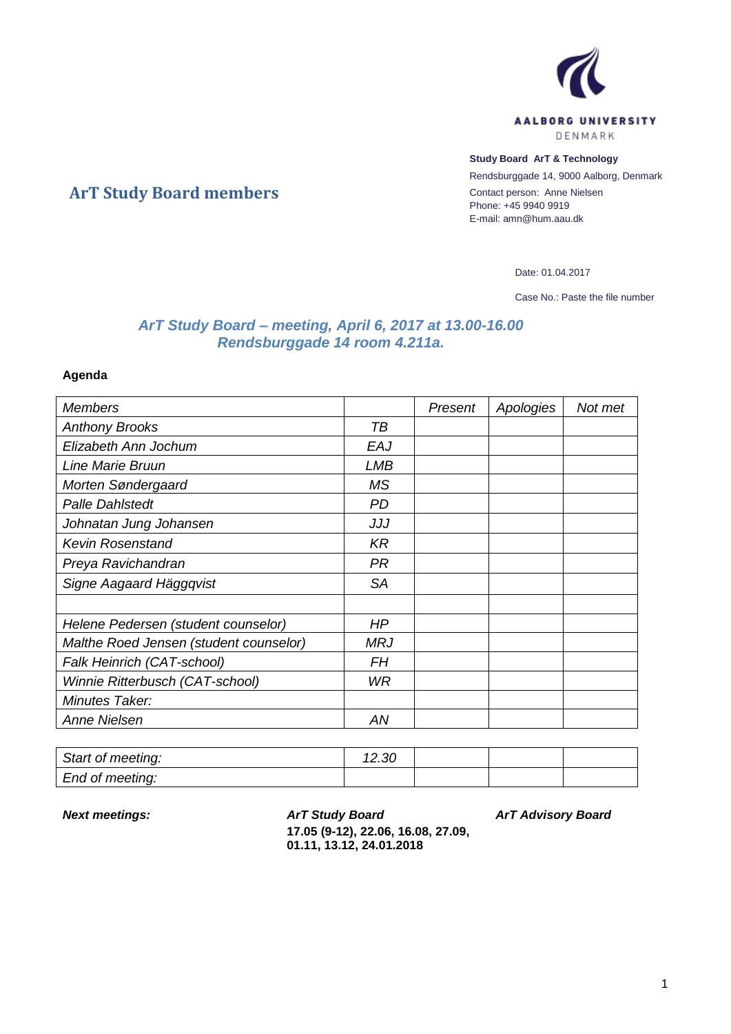

## **Study Board ArT & Technology**

Rendsburggade 14, 9000 Aalborg, Denmark Contact person: Anne Nielsen Phone: +45 9940 9919 E-mail: amn@hum.aau.dk

Date: 01.04.2017

Case No.: Paste the file number

## *ArT Study Board – meeting, April 6, 2017 at 13.00-16.00 Rendsburggade 14 room 4.211a.*

## **Agenda**

**ArT Study Board members**

| <b>Members</b>                         |            | Present | Apologies | Not met |
|----------------------------------------|------------|---------|-----------|---------|
| <b>Anthony Brooks</b>                  | TВ         |         |           |         |
| Elizabeth Ann Jochum                   | EAJ        |         |           |         |
| Line Marie Bruun                       | <b>LMB</b> |         |           |         |
| Morten Søndergaard                     | <b>MS</b>  |         |           |         |
| <b>Palle Dahlstedt</b>                 | <b>PD</b>  |         |           |         |
| Johnatan Jung Johansen                 | JJJ        |         |           |         |
| <b>Kevin Rosenstand</b>                | $K$ R      |         |           |         |
| Preya Ravichandran                     | PR.        |         |           |         |
| Signe Aagaard Häggqvist                | <b>SA</b>  |         |           |         |
|                                        |            |         |           |         |
| Helene Pedersen (student counselor)    | HP         |         |           |         |
| Malthe Roed Jensen (student counselor) | MRJ        |         |           |         |
| Falk Heinrich (CAT-school)             | FН         |         |           |         |
| Winnie Ritterbusch (CAT-school)        | <b>WR</b>  |         |           |         |
| Minutes Taker:                         |            |         |           |         |
| Anne Nielsen                           | AN         |         |           |         |

| Start of meeting: | باک. ∠ا |  |  |
|-------------------|---------|--|--|
| End of meeting:   |         |  |  |

*Next meetings: ArT Study Board* **17.05 (9-12), 22.06, 16.08, 27.09, 01.11, 13.12, 24.01.2018**

*ArT Advisory Board*

1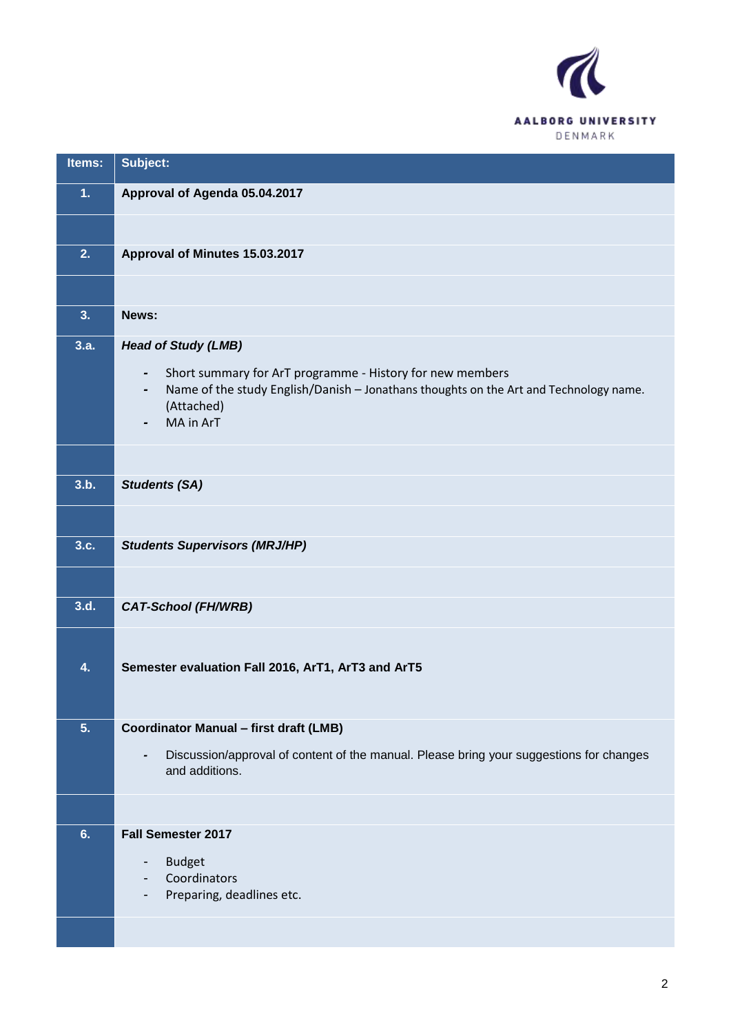

| Items: | Subject:                                                                                                                                                                                        |
|--------|-------------------------------------------------------------------------------------------------------------------------------------------------------------------------------------------------|
| 1.     | Approval of Agenda 05.04.2017                                                                                                                                                                   |
|        |                                                                                                                                                                                                 |
| 2.     | Approval of Minutes 15.03.2017                                                                                                                                                                  |
|        |                                                                                                                                                                                                 |
| 3.     | News:                                                                                                                                                                                           |
| 3.a.   | <b>Head of Study (LMB)</b>                                                                                                                                                                      |
|        | Short summary for ArT programme - History for new members<br>$\blacksquare$<br>Name of the study English/Danish - Jonathans thoughts on the Art and Technology name.<br>(Attached)<br>MA in ArT |
|        |                                                                                                                                                                                                 |
| 3.b.   | <b>Students (SA)</b>                                                                                                                                                                            |
|        |                                                                                                                                                                                                 |
| 3.c.   | <b>Students Supervisors (MRJ/HP)</b>                                                                                                                                                            |
|        |                                                                                                                                                                                                 |
| 3.d.   | <b>CAT-School (FH/WRB)</b>                                                                                                                                                                      |
|        |                                                                                                                                                                                                 |
| 4.     | Semester evaluation Fall 2016, ArT1, ArT3 and ArT5                                                                                                                                              |
|        |                                                                                                                                                                                                 |
| 5.     | <b>Coordinator Manual - first draft (LMB)</b>                                                                                                                                                   |
|        | Discussion/approval of content of the manual. Please bring your suggestions for changes<br>$\qquad \qquad \blacksquare$<br>and additions.                                                       |
|        |                                                                                                                                                                                                 |
| 6.     | <b>Fall Semester 2017</b>                                                                                                                                                                       |
|        | <b>Budget</b><br>-<br>Coordinators                                                                                                                                                              |
|        | Preparing, deadlines etc.                                                                                                                                                                       |
|        |                                                                                                                                                                                                 |